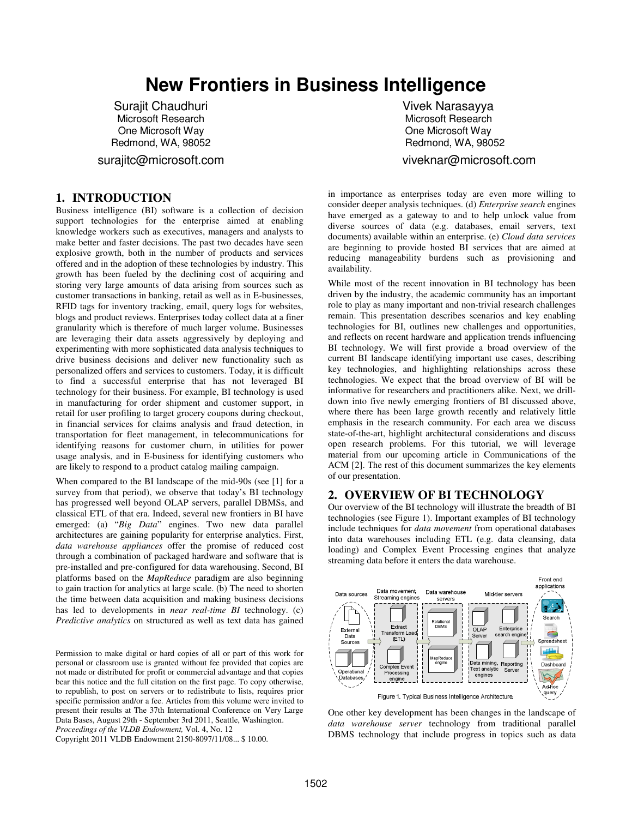# **New Frontiers in Business Intelligence**

Surajit Chaudhuri Microsoft Research One Microsoft Way Redmond, WA, 98052

surajitc@microsoft.com

#### **1. INTRODUCTION**

Business intelligence (BI) software is a collection of decision support technologies for the enterprise aimed at enabling knowledge workers such as executives, managers and analysts to make better and faster decisions. The past two decades have seen explosive growth, both in the number of products and services offered and in the adoption of these technologies by industry. This growth has been fueled by the declining cost of acquiring and storing very large amounts of data arising from sources such as customer transactions in banking, retail as well as in E-businesses, RFID tags for inventory tracking, email, query logs for websites, blogs and product reviews. Enterprises today collect data at a finer granularity which is therefore of much larger volume. Businesses are leveraging their data assets aggressively by deploying and experimenting with more sophisticated data analysis techniques to drive business decisions and deliver new functionality such as personalized offers and services to customers. Today, it is difficult to find a successful enterprise that has not leveraged BI technology for their business. For example, BI technology is used in manufacturing for order shipment and customer support, in retail for user profiling to target grocery coupons during checkout, in financial services for claims analysis and fraud detection, in transportation for fleet management, in telecommunications for identifying reasons for customer churn, in utilities for power usage analysis, and in E-business for identifying customers who are likely to respond to a product catalog mailing campaign.

When compared to the BI landscape of the mid-90s (see [1] for a survey from that period), we observe that today's BI technology has progressed well beyond OLAP servers, parallel DBMSs, and classical ETL of that era. Indeed, several new frontiers in BI have emerged: (a) "*Big Data*" engines. Two new data parallel architectures are gaining popularity for enterprise analytics. First, *data warehouse appliances* offer the promise of reduced cost through a combination of packaged hardware and software that is pre-installed and pre-configured for data warehousing. Second, BI platforms based on the *MapReduce* paradigm are also beginning to gain traction for analytics at large scale. (b) The need to shorten the time between data acquisition and making business decisions has led to developments in *near real-time BI* technology. (c) *Predictive analytics* on structured as well as text data has gained

Permission to make digital or hard copies of all or part of this work for personal or classroom use is granted without fee provided that copies are not made or distributed for profit or commercial advantage and that copies bear this notice and the full citation on the first page. To copy otherwise, to republish, to post on servers or to redistribute to lists, requires prior specific permission and/or a fee. Articles from this volume were invited to present their results at The 37th International Conference on Very Large Data Bases, August 29th - September 3rd 2011, Seattle, Washington. *Proceedings of the VLDB Endowment,* Vol. 4, No. 12

Copyright 2011 VLDB Endowment 2150-8097/11/08... \$ 10.00.

 Vivek Narasayya Microsoft Research One Microsoft Way Redmond, WA, 98052 viveknar@microsoft.com

in importance as enterprises today are even more willing to consider deeper analysis techniques. (d) *Enterprise search* engines have emerged as a gateway to and to help unlock value from diverse sources of data (e.g. databases, email servers, text documents) available within an enterprise. (e) *Cloud data services* are beginning to provide hosted BI services that are aimed at reducing manageability burdens such as provisioning and availability.

While most of the recent innovation in BI technology has been driven by the industry, the academic community has an important role to play as many important and non-trivial research challenges remain. This presentation describes scenarios and key enabling technologies for BI, outlines new challenges and opportunities, and reflects on recent hardware and application trends influencing BI technology. We will first provide a broad overview of the current BI landscape identifying important use cases, describing key technologies, and highlighting relationships across these technologies. We expect that the broad overview of BI will be informative for researchers and practitioners alike. Next, we drilldown into five newly emerging frontiers of BI discussed above, where there has been large growth recently and relatively little emphasis in the research community. For each area we discuss state-of-the-art, highlight architectural considerations and discuss open research problems. For this tutorial, we will leverage material from our upcoming article in Communications of the ACM [2]. The rest of this document summarizes the key elements of our presentation.

#### **2. OVERVIEW OF BI TECHNOLOGY**

Our overview of the BI technology will illustrate the breadth of BI technologies (see Figure 1). Important examples of BI technology include techniques for *data movement* from operational databases into data warehouses including ETL (e.g. data cleansing, data loading) and Complex Event Processing engines that analyze streaming data before it enters the data warehouse.



One other key development has been changes in the landscape of *data warehouse server* technology from traditional parallel DBMS technology that include progress in topics such as data